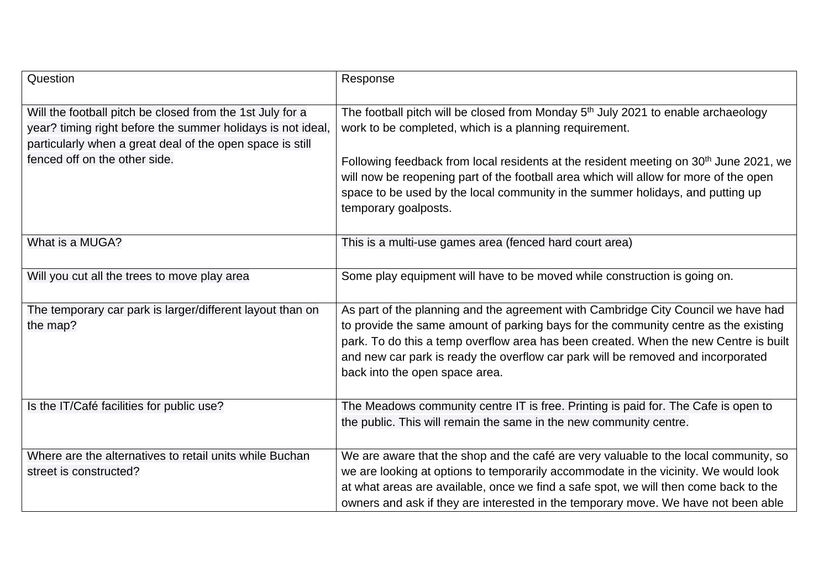| Question                                                                                                                                                                                                               | Response                                                                                                                                                                                                                                                                                                                                                                                                                                                        |
|------------------------------------------------------------------------------------------------------------------------------------------------------------------------------------------------------------------------|-----------------------------------------------------------------------------------------------------------------------------------------------------------------------------------------------------------------------------------------------------------------------------------------------------------------------------------------------------------------------------------------------------------------------------------------------------------------|
| Will the football pitch be closed from the 1st July for a<br>year? timing right before the summer holidays is not ideal,<br>particularly when a great deal of the open space is still<br>fenced off on the other side. | The football pitch will be closed from Monday 5 <sup>th</sup> July 2021 to enable archaeology<br>work to be completed, which is a planning requirement.<br>Following feedback from local residents at the resident meeting on 30 <sup>th</sup> June 2021, we<br>will now be reopening part of the football area which will allow for more of the open<br>space to be used by the local community in the summer holidays, and putting up<br>temporary goalposts. |
| What is a MUGA?                                                                                                                                                                                                        | This is a multi-use games area (fenced hard court area)                                                                                                                                                                                                                                                                                                                                                                                                         |
| Will you cut all the trees to move play area                                                                                                                                                                           | Some play equipment will have to be moved while construction is going on.                                                                                                                                                                                                                                                                                                                                                                                       |
| The temporary car park is larger/different layout than on<br>the map?                                                                                                                                                  | As part of the planning and the agreement with Cambridge City Council we have had<br>to provide the same amount of parking bays for the community centre as the existing<br>park. To do this a temp overflow area has been created. When the new Centre is built<br>and new car park is ready the overflow car park will be removed and incorporated<br>back into the open space area.                                                                          |
| Is the IT/Café facilities for public use?                                                                                                                                                                              | The Meadows community centre IT is free. Printing is paid for. The Cafe is open to<br>the public. This will remain the same in the new community centre.                                                                                                                                                                                                                                                                                                        |
| Where are the alternatives to retail units while Buchan<br>street is constructed?                                                                                                                                      | We are aware that the shop and the café are very valuable to the local community, so<br>we are looking at options to temporarily accommodate in the vicinity. We would look<br>at what areas are available, once we find a safe spot, we will then come back to the<br>owners and ask if they are interested in the temporary move. We have not been able                                                                                                       |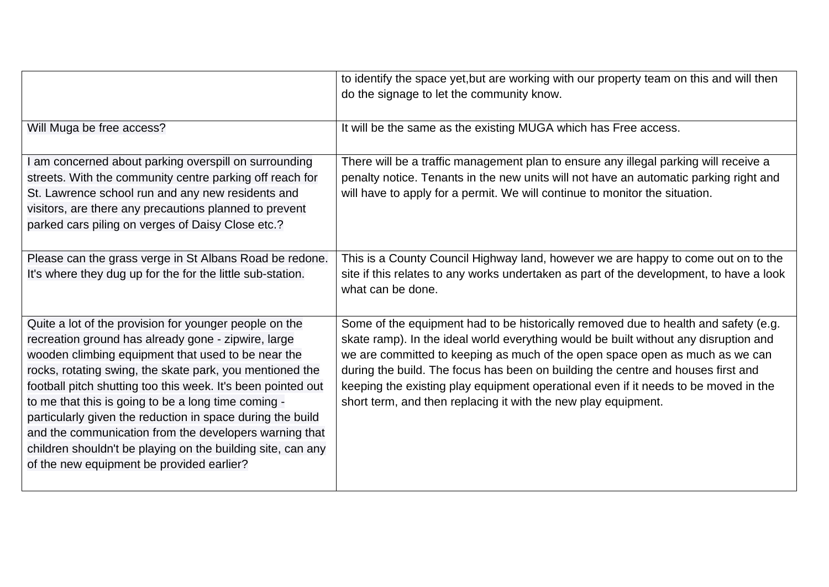|                                                                                                                                                                                                                                                                                                                                                                                                                                                                                                                                                                                            | to identify the space yet, but are working with our property team on this and will then<br>do the signage to let the community know.                                                                                                                                                                                                                                                                                                                                                                     |
|--------------------------------------------------------------------------------------------------------------------------------------------------------------------------------------------------------------------------------------------------------------------------------------------------------------------------------------------------------------------------------------------------------------------------------------------------------------------------------------------------------------------------------------------------------------------------------------------|----------------------------------------------------------------------------------------------------------------------------------------------------------------------------------------------------------------------------------------------------------------------------------------------------------------------------------------------------------------------------------------------------------------------------------------------------------------------------------------------------------|
| Will Muga be free access?                                                                                                                                                                                                                                                                                                                                                                                                                                                                                                                                                                  | It will be the same as the existing MUGA which has Free access.                                                                                                                                                                                                                                                                                                                                                                                                                                          |
| am concerned about parking overspill on surrounding<br>streets. With the community centre parking off reach for<br>St. Lawrence school run and any new residents and<br>visitors, are there any precautions planned to prevent<br>parked cars piling on verges of Daisy Close etc.?                                                                                                                                                                                                                                                                                                        | There will be a traffic management plan to ensure any illegal parking will receive a<br>penalty notice. Tenants in the new units will not have an automatic parking right and<br>will have to apply for a permit. We will continue to monitor the situation.                                                                                                                                                                                                                                             |
| Please can the grass verge in St Albans Road be redone.<br>It's where they dug up for the for the little sub-station.                                                                                                                                                                                                                                                                                                                                                                                                                                                                      | This is a County Council Highway land, however we are happy to come out on to the<br>site if this relates to any works undertaken as part of the development, to have a look<br>what can be done.                                                                                                                                                                                                                                                                                                        |
| Quite a lot of the provision for younger people on the<br>recreation ground has already gone - zipwire, large<br>wooden climbing equipment that used to be near the<br>rocks, rotating swing, the skate park, you mentioned the<br>football pitch shutting too this week. It's been pointed out<br>to me that this is going to be a long time coming -<br>particularly given the reduction in space during the build<br>and the communication from the developers warning that<br>children shouldn't be playing on the building site, can any<br>of the new equipment be provided earlier? | Some of the equipment had to be historically removed due to health and safety (e.g.<br>skate ramp). In the ideal world everything would be built without any disruption and<br>we are committed to keeping as much of the open space open as much as we can<br>during the build. The focus has been on building the centre and houses first and<br>keeping the existing play equipment operational even if it needs to be moved in the<br>short term, and then replacing it with the new play equipment. |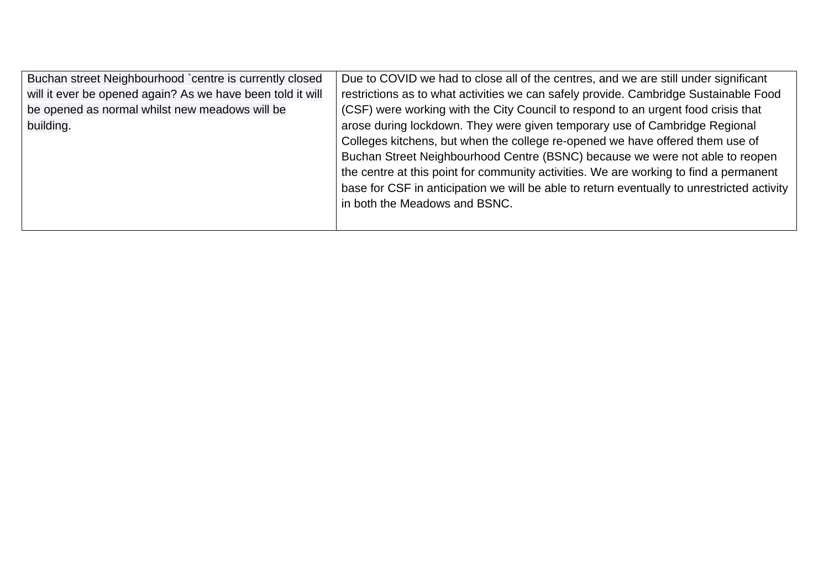| Buchan street Neighbourhood `centre is currently closed    | Due to COVID we had to close all of the centres, and we are still under significant        |
|------------------------------------------------------------|--------------------------------------------------------------------------------------------|
| will it ever be opened again? As we have been told it will | restrictions as to what activities we can safely provide. Cambridge Sustainable Food       |
| be opened as normal whilst new meadows will be             | (CSF) were working with the City Council to respond to an urgent food crisis that          |
| building.                                                  | arose during lockdown. They were given temporary use of Cambridge Regional                 |
|                                                            | Colleges kitchens, but when the college re-opened we have offered them use of              |
|                                                            | Buchan Street Neighbourhood Centre (BSNC) because we were not able to reopen               |
|                                                            | the centre at this point for community activities. We are working to find a permanent      |
|                                                            | base for CSF in anticipation we will be able to return eventually to unrestricted activity |
|                                                            | in both the Meadows and BSNC.                                                              |
|                                                            |                                                                                            |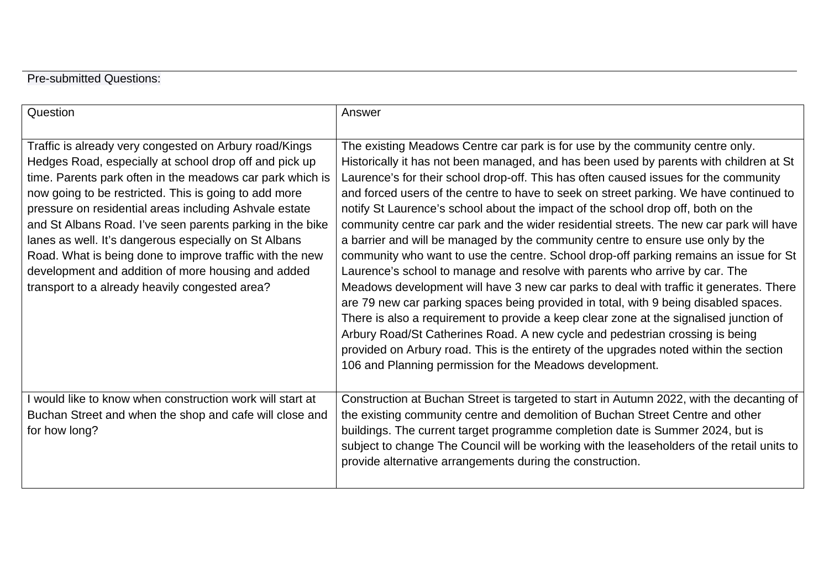## Pre-submitted Questions:

| Question                                                                                                                                                                                                                                                                                                                                                                                                                                                                                                                                                                                   | Answer                                                                                                                                                                                                                                                                                                                                                                                                                                                                                                                                                                                                                                                                                                                                                                                                                                                                                                                                                                                                                                                                                                                                                                                                                                                                                                                |
|--------------------------------------------------------------------------------------------------------------------------------------------------------------------------------------------------------------------------------------------------------------------------------------------------------------------------------------------------------------------------------------------------------------------------------------------------------------------------------------------------------------------------------------------------------------------------------------------|-----------------------------------------------------------------------------------------------------------------------------------------------------------------------------------------------------------------------------------------------------------------------------------------------------------------------------------------------------------------------------------------------------------------------------------------------------------------------------------------------------------------------------------------------------------------------------------------------------------------------------------------------------------------------------------------------------------------------------------------------------------------------------------------------------------------------------------------------------------------------------------------------------------------------------------------------------------------------------------------------------------------------------------------------------------------------------------------------------------------------------------------------------------------------------------------------------------------------------------------------------------------------------------------------------------------------|
| Traffic is already very congested on Arbury road/Kings<br>Hedges Road, especially at school drop off and pick up<br>time. Parents park often in the meadows car park which is<br>now going to be restricted. This is going to add more<br>pressure on residential areas including Ashvale estate<br>and St Albans Road. I've seen parents parking in the bike<br>lanes as well. It's dangerous especially on St Albans<br>Road. What is being done to improve traffic with the new<br>development and addition of more housing and added<br>transport to a already heavily congested area? | The existing Meadows Centre car park is for use by the community centre only.<br>Historically it has not been managed, and has been used by parents with children at St<br>Laurence's for their school drop-off. This has often caused issues for the community<br>and forced users of the centre to have to seek on street parking. We have continued to<br>notify St Laurence's school about the impact of the school drop off, both on the<br>community centre car park and the wider residential streets. The new car park will have<br>a barrier and will be managed by the community centre to ensure use only by the<br>community who want to use the centre. School drop-off parking remains an issue for St<br>Laurence's school to manage and resolve with parents who arrive by car. The<br>Meadows development will have 3 new car parks to deal with traffic it generates. There<br>are 79 new car parking spaces being provided in total, with 9 being disabled spaces.<br>There is also a requirement to provide a keep clear zone at the signalised junction of<br>Arbury Road/St Catherines Road. A new cycle and pedestrian crossing is being<br>provided on Arbury road. This is the entirety of the upgrades noted within the section<br>106 and Planning permission for the Meadows development. |
| would like to know when construction work will start at<br>Buchan Street and when the shop and cafe will close and<br>for how long?                                                                                                                                                                                                                                                                                                                                                                                                                                                        | Construction at Buchan Street is targeted to start in Autumn 2022, with the decanting of<br>the existing community centre and demolition of Buchan Street Centre and other<br>buildings. The current target programme completion date is Summer 2024, but is<br>subject to change The Council will be working with the leaseholders of the retail units to<br>provide alternative arrangements during the construction.                                                                                                                                                                                                                                                                                                                                                                                                                                                                                                                                                                                                                                                                                                                                                                                                                                                                                               |